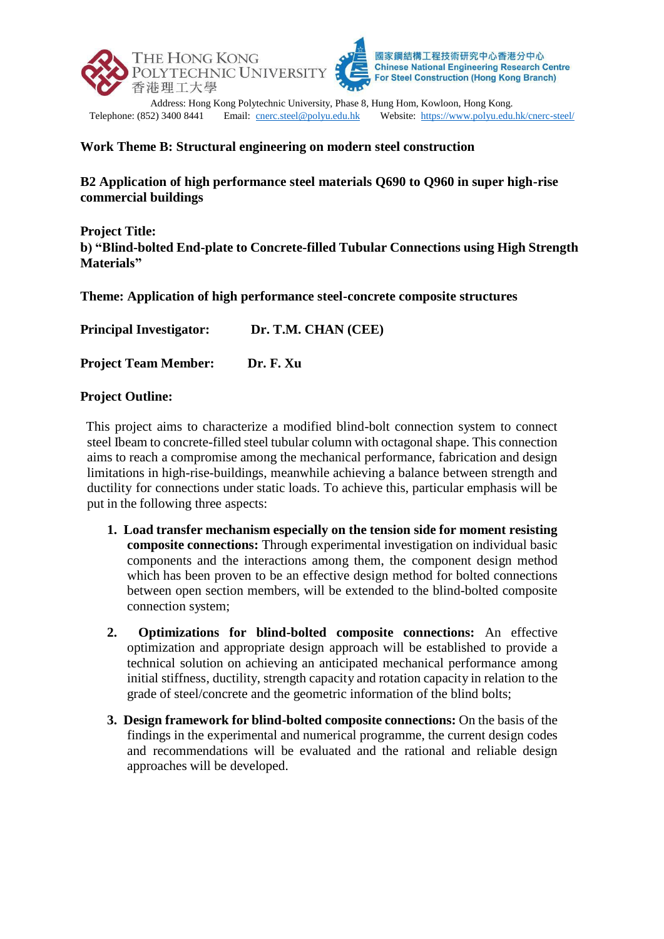

Telephone: (852) 3400 8441 Email: [cnerc.steel@polyu.edu.hk](mailto:cnerc.steel@polyu.edu.hk) Website:<https://www.polyu.edu.hk/cnerc-steel/>

## **Work Theme B: Structural engineering on modern steel construction**

**B2 Application of high performance steel materials Q690 to Q960 in super high-rise commercial buildings**

**Project Title: b) "Blind-bolted End-plate to Concrete-filled Tubular Connections using High Strength Materials"**

**Theme: Application of high performance steel-concrete composite structures**

**Principal Investigator: Dr. T.M. CHAN (CEE)**

**Project Team Member: Dr. F. Xu**

## **Project Outline:**

This project aims to characterize a modified blind-bolt connection system to connect steel Ibeam to concrete-filled steel tubular column with octagonal shape. This connection aims to reach a compromise among the mechanical performance, fabrication and design limitations in high-rise-buildings, meanwhile achieving a balance between strength and ductility for connections under static loads. To achieve this, particular emphasis will be put in the following three aspects:

- **1. Load transfer mechanism especially on the tension side for moment resisting composite connections:** Through experimental investigation on individual basic components and the interactions among them, the component design method which has been proven to be an effective design method for bolted connections between open section members, will be extended to the blind-bolted composite connection system;
- **2. Optimizations for blind-bolted composite connections:** An effective optimization and appropriate design approach will be established to provide a technical solution on achieving an anticipated mechanical performance among initial stiffness, ductility, strength capacity and rotation capacity in relation to the grade of steel/concrete and the geometric information of the blind bolts;
- **3. Design framework for blind-bolted composite connections:** On the basis of the findings in the experimental and numerical programme, the current design codes and recommendations will be evaluated and the rational and reliable design approaches will be developed.